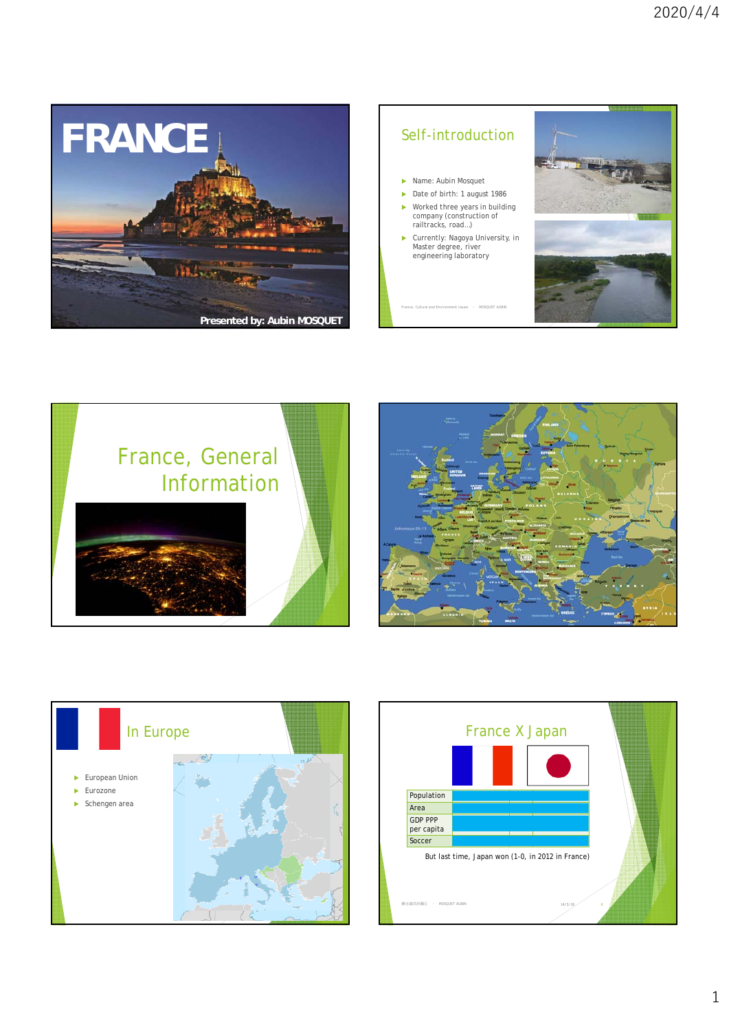

## Self-introduction

- ▶ Name: Aubin Mosquet
- Date of birth: 1 august 1986
- Worked three years in building company (construction of railtracks, road…)
- Currently: Nagoya University, in Master degree, river engineering laboratory

France, Culture and Environment issues ・ MOSQUET AUBIN 14/11/15 2









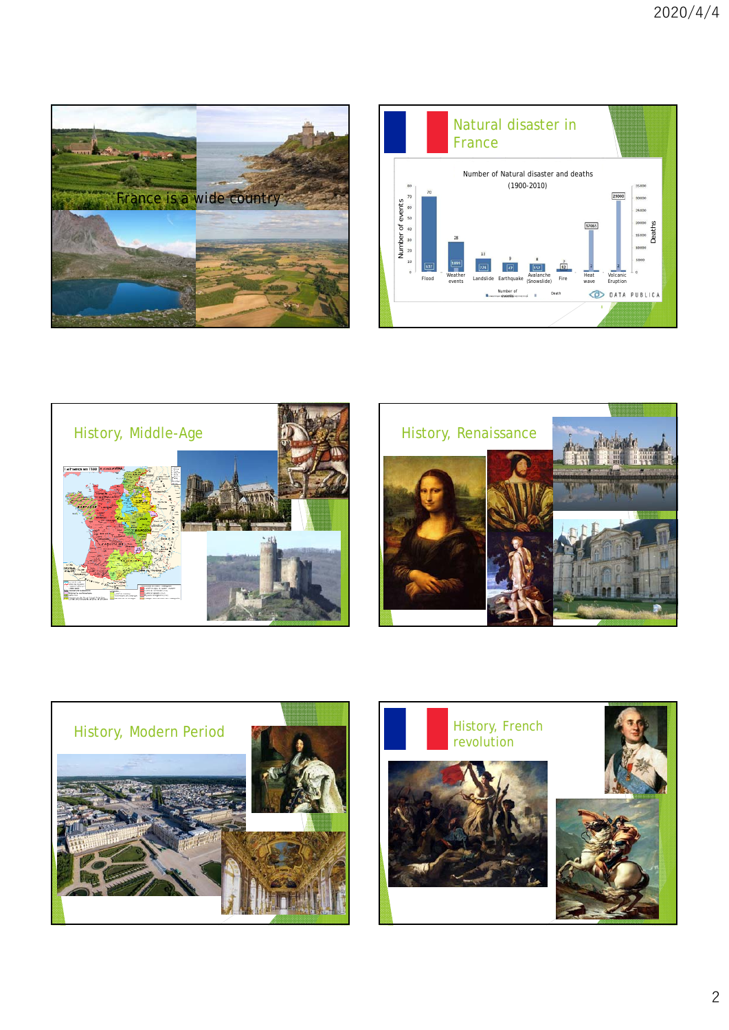









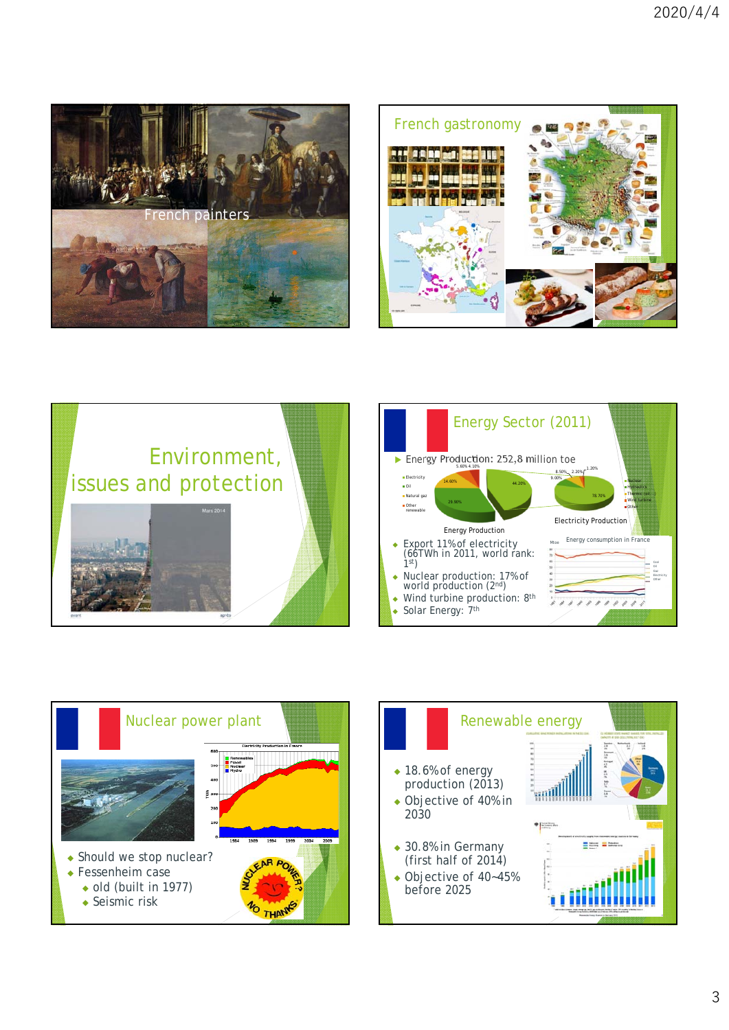









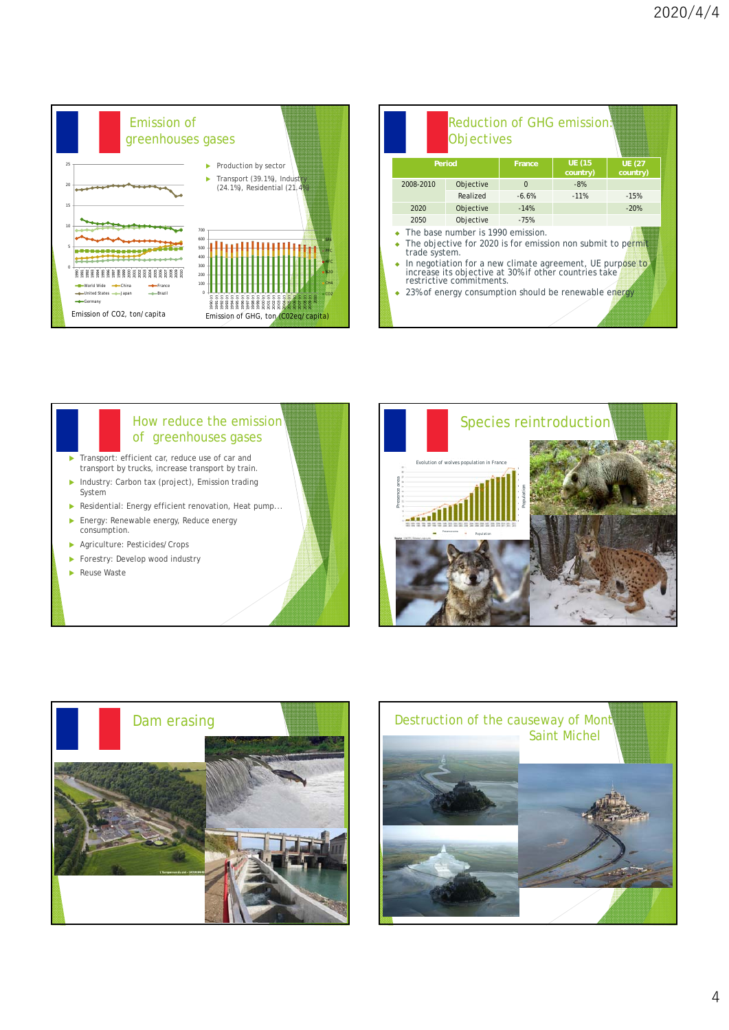

|           | <b>Objectives</b>                                                                                                                                                                                                                                                                                                           | Reduction of GHG emission! |                           |                           |
|-----------|-----------------------------------------------------------------------------------------------------------------------------------------------------------------------------------------------------------------------------------------------------------------------------------------------------------------------------|----------------------------|---------------------------|---------------------------|
| Period    |                                                                                                                                                                                                                                                                                                                             | France                     | <b>UE (15</b><br>country) | <b>UE (27</b><br>country) |
| 2008-2010 | Objective                                                                                                                                                                                                                                                                                                                   | $\Omega$                   | $-8%$                     |                           |
|           | Realized                                                                                                                                                                                                                                                                                                                    | $-6.6%$                    | $-11%$                    | $-15%$                    |
| 2020      | Objective                                                                                                                                                                                                                                                                                                                   | $-14%$                     |                           | $-20%$                    |
| 2050      | Objective                                                                                                                                                                                                                                                                                                                   | $-75%$                     |                           |                           |
|           | The base number is 1990 emission.<br>The objective for 2020 is for emission non submit to permit<br>trade system.<br>In negotiation for a new climate agreement, UE purpose to<br>increase its objective at 30% if other countries take<br>restrictive commitments.<br>23% of energy consumption should be renewable energy |                            |                           |                           |